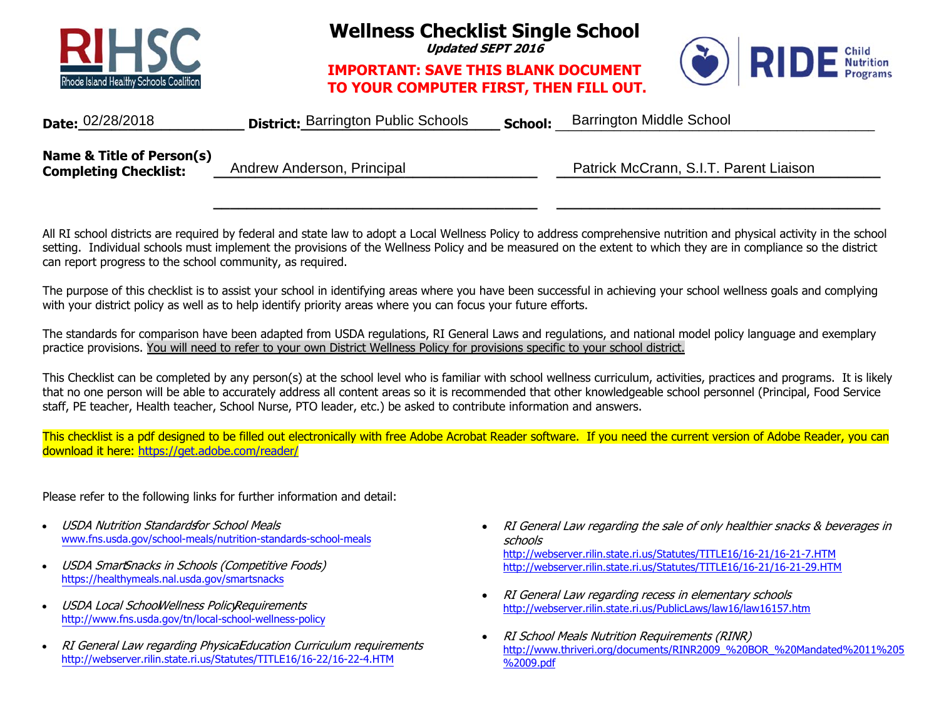

**Wellness Checklist Single School** 

**Updated SEPT 2016** 

## **IMPORTANT: SAVE THIS BLANK DOCUMENTTO YOUR COMPUTER FIRST, THEN FILL OUT.**



| Date: 02/28/2018                                          | <b>District: Barrington Public Schools</b> | <b>School:</b> | Barrington Middle School               |  |
|-----------------------------------------------------------|--------------------------------------------|----------------|----------------------------------------|--|
| Name & Title of Person(s)<br><b>Completing Checklist:</b> | Andrew Anderson, Principal                 |                | Patrick McCrann, S.I.T. Parent Liaison |  |

All RI school districts are required by federal and state law to adopt a Local Wellness Policy to address comprehensive nutrition and physical activity in the school setting. Individual schools must implement the provisions of the Wellness Policy and be measured on the extent to which they are in compliance so the district can report progress to the school community, as required.

**\_\_\_\_\_\_\_\_\_\_\_\_\_\_\_\_\_\_\_\_\_\_\_\_\_\_\_\_\_\_\_\_\_\_\_\_\_\_\_ \_\_\_\_\_\_\_\_\_\_\_\_\_\_\_\_\_\_\_\_\_\_\_\_\_\_\_\_\_\_\_\_\_\_\_\_\_\_\_** 

The purpose of this checklist is to assist your school in identifying areas where you have been successful in achieving your school wellness goals and complying with your district policy as well as to help identify priority areas where you can focus your future efforts.

The standards for comparison have been adapted from USDA regulations, RI General Laws and regulations, and national model policy language and exemplary practice provisions. You will need to refer to your own District Wellness Policy for provisions specific to your school district.

This Checklist can be completed by any person(s) at the school level who is familiar with school wellness curriculum, activities, practices and programs. It is likely that no one person will be able to accurately address all content areas so it is recommended that other knowledgeable school personnel (Principal, Food Service staff, PE teacher, Health teacher, School Nurse, PTO leader, etc.) be asked to contribute information and answers.

This checklist is a pdf designed to be filled out electronically with free Adobe Acrobat Reader software. If you need the current version of Adobe Reader, you can download it here: https://get.adobe.com/reader/

Please refer to the following links for further information and detail:

- • USDA Nutrition Standardsfor School Meals www.fns.usda.gov/school-meals/nutrition-standards-school-meals
- •USDA SmartSnacks in Schools (Competitive Foods) https://healthymeals.nal.usda.gov/smartsnacks
- •USDA Local SchoolWellness PolicyRequirements http://www.fns.usda.gov/tn/local-school-wellness-policy
- •RI General Law regarding PhysicaEducation Curriculum requirements http://webserver.rilin.state.ri.us/Statutes/TITLE16/16-22/16-22-4.HTM
- RI General Law regarding the sale of only healthier snacks & beverages in schoolshttp://webserver.rilin.state.ri.us/Statutes/TITLE16/16-21/16-21-7.HTM http://webserver.rilin.state.ri.us/Statutes/TITLE16/16-21/16-21-29.HTM
- $\bullet$  RI General Law regarding recess in elementary schools http://webserver.rilin.state.ri.us/PublicLaws/law16/law16157.htm
- $\bullet$  RI School Meals Nutrition Requirements (RINR) http://www.thriveri.org/documents/RINR2009\_%20BOR\_%20Mandated%2011%205 %2009.pdf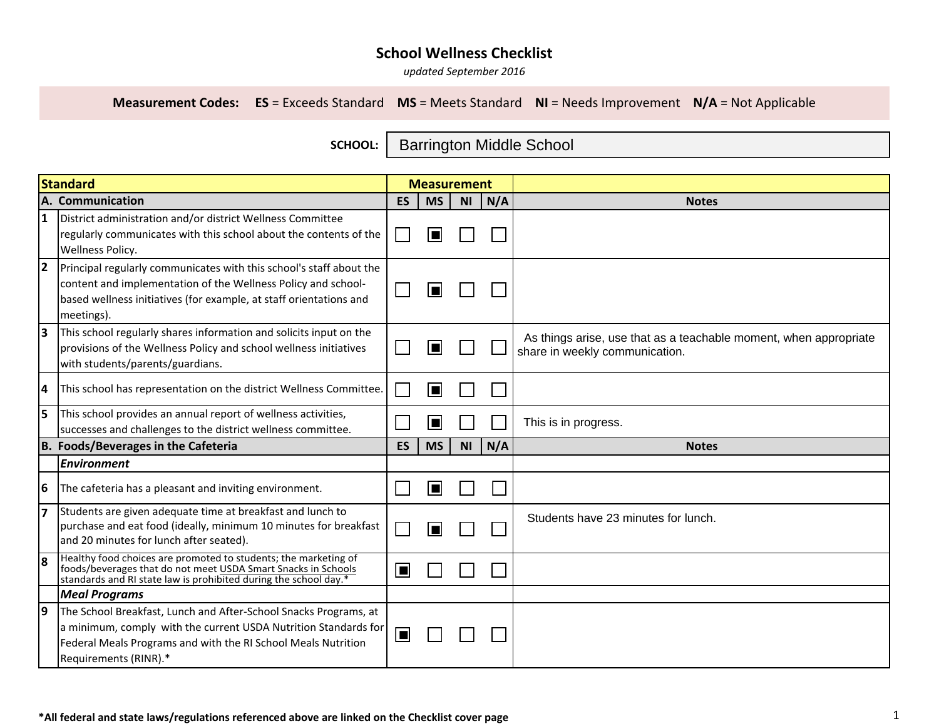*updated September <sup>2016</sup>*

**Measurement Codes: ES** = Exceeds Standard **MS** = Meets Standard **NI** = Needs Improvement **N/A** = Not Applicable

**SCHOOL:**  Barrington Middle School

| <b>Standard</b>                     |                                                                                                                                                                                                                               | <b>Measurement</b> |           |           |     |                                                                                                     |
|-------------------------------------|-------------------------------------------------------------------------------------------------------------------------------------------------------------------------------------------------------------------------------|--------------------|-----------|-----------|-----|-----------------------------------------------------------------------------------------------------|
|                                     | A. Communication                                                                                                                                                                                                              | <b>ES</b>          | <b>MS</b> | <b>NI</b> | N/A | <b>Notes</b>                                                                                        |
| 1                                   | District administration and/or district Wellness Committee<br>regularly communicates with this school about the contents of the<br>Wellness Policy.                                                                           |                    |           |           |     |                                                                                                     |
| 2                                   | Principal regularly communicates with this school's staff about the<br>content and implementation of the Wellness Policy and school-<br>based wellness initiatives (for example, at staff orientations and<br>meetings).      |                    |           |           |     |                                                                                                     |
| lЗ                                  | This school regularly shares information and solicits input on the<br>provisions of the Wellness Policy and school wellness initiatives<br>with students/parents/guardians.                                                   |                    |           |           |     | As things arise, use that as a teachable moment, when appropriate<br>share in weekly communication. |
| 4                                   | This school has representation on the district Wellness Committee.                                                                                                                                                            |                    |           |           |     |                                                                                                     |
| 15                                  | This school provides an annual report of wellness activities,<br>successes and challenges to the district wellness committee.                                                                                                 |                    |           |           |     | This is in progress.                                                                                |
| B. Foods/Beverages in the Cafeteria |                                                                                                                                                                                                                               | <b>ES</b>          | <b>MS</b> | <b>NI</b> | N/A | <b>Notes</b>                                                                                        |
|                                     | <b>Environment</b>                                                                                                                                                                                                            |                    |           |           |     |                                                                                                     |
| 6                                   | The cafeteria has a pleasant and inviting environment.                                                                                                                                                                        |                    |           |           |     |                                                                                                     |
| 17                                  | Students are given adequate time at breakfast and lunch to<br>purchase and eat food (ideally, minimum 10 minutes for breakfast<br>and 20 minutes for lunch after seated).                                                     |                    |           |           |     | Students have 23 minutes for lunch.                                                                 |
| l8                                  | Healthy food choices are promoted to students; the marketing of<br>foods/beverages that do not meet USDA Smart Snacks in Schools<br>standards and RI state law is prohibited during the school day.*                          | o                  |           |           |     |                                                                                                     |
|                                     | <b>Meal Programs</b>                                                                                                                                                                                                          |                    |           |           |     |                                                                                                     |
| 19                                  | The School Breakfast, Lunch and After-School Snacks Programs, at<br>a minimum, comply with the current USDA Nutrition Standards for<br>Federal Meals Programs and with the RI School Meals Nutrition<br>Requirements (RINR).* | $\blacksquare$     |           |           |     |                                                                                                     |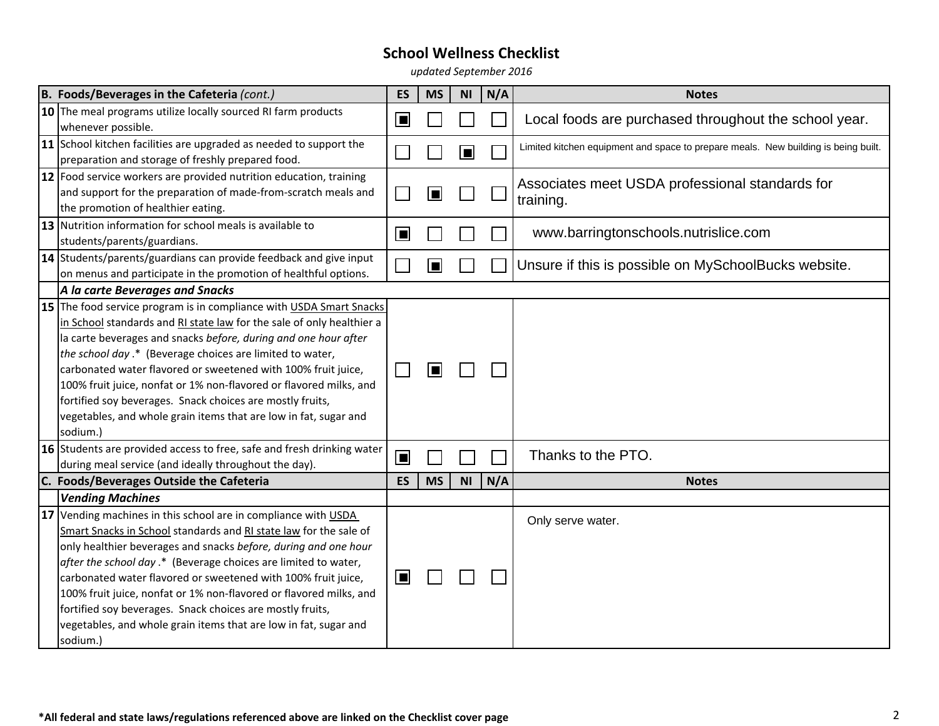| B. Foods/Beverages in the Cafeteria (cont.)                                                                                                                                                                                                                                                                                                                                                                                                                                                                                                                                                                                                | ES        | <b>MS</b> | N <sub>l</sub> | N/A | <b>Notes</b>                                                                       |
|--------------------------------------------------------------------------------------------------------------------------------------------------------------------------------------------------------------------------------------------------------------------------------------------------------------------------------------------------------------------------------------------------------------------------------------------------------------------------------------------------------------------------------------------------------------------------------------------------------------------------------------------|-----------|-----------|----------------|-----|------------------------------------------------------------------------------------|
| 10 The meal programs utilize locally sourced RI farm products<br>whenever possible.                                                                                                                                                                                                                                                                                                                                                                                                                                                                                                                                                        | $\Box$    |           |                |     | Local foods are purchased throughout the school year.                              |
| 11 School kitchen facilities are upgraded as needed to support the<br>preparation and storage of freshly prepared food.                                                                                                                                                                                                                                                                                                                                                                                                                                                                                                                    |           |           | O              |     | Limited kitchen equipment and space to prepare meals. New building is being built. |
| 12 Food service workers are provided nutrition education, training<br>and support for the preparation of made-from-scratch meals and<br>the promotion of healthier eating.                                                                                                                                                                                                                                                                                                                                                                                                                                                                 |           |           |                |     | Associates meet USDA professional standards for<br>training.                       |
| 13 Nutrition information for school meals is available to<br>students/parents/guardians.                                                                                                                                                                                                                                                                                                                                                                                                                                                                                                                                                   | ∣■        |           |                |     | www.barringtonschools.nutrislice.com                                               |
| 14 Students/parents/guardians can provide feedback and give input<br>on menus and participate in the promotion of healthful options.                                                                                                                                                                                                                                                                                                                                                                                                                                                                                                       |           | Iш        |                |     | Unsure if this is possible on MySchoolBucks website.                               |
| A la carte Beverages and Snacks                                                                                                                                                                                                                                                                                                                                                                                                                                                                                                                                                                                                            |           |           |                |     |                                                                                    |
| 15 The food service program is in compliance with USDA Smart Snacks<br>in School standards and RI state law for the sale of only healthier a<br>la carte beverages and snacks before, during and one hour after<br>the school day .* (Beverage choices are limited to water,<br>carbonated water flavored or sweetened with 100% fruit juice,<br>100% fruit juice, nonfat or 1% non-flavored or flavored milks, and<br>fortified soy beverages. Snack choices are mostly fruits,<br>vegetables, and whole grain items that are low in fat, sugar and<br>sodium.)<br>16 Students are provided access to free, safe and fresh drinking water |           | Œ         |                |     |                                                                                    |
| during meal service (and ideally throughout the day).                                                                                                                                                                                                                                                                                                                                                                                                                                                                                                                                                                                      | $\Box$    |           |                |     | Thanks to the PTO.                                                                 |
| C. Foods/Beverages Outside the Cafeteria                                                                                                                                                                                                                                                                                                                                                                                                                                                                                                                                                                                                   | <b>ES</b> | <b>MS</b> | <b>NI</b>      | N/A | <b>Notes</b>                                                                       |
| <b>Vending Machines</b><br>17 Vending machines in this school are in compliance with USDA<br>Smart Snacks in School standards and RI state law for the sale of<br>only healthier beverages and snacks before, during and one hour<br>after the school day .* (Beverage choices are limited to water,<br>carbonated water flavored or sweetened with 100% fruit juice,<br>100% fruit juice, nonfat or 1% non-flavored or flavored milks, and<br>fortified soy beverages. Snack choices are mostly fruits,<br>vegetables, and whole grain items that are low in fat, sugar and<br>sodium.)                                                   | o         |           |                |     | Only serve water.                                                                  |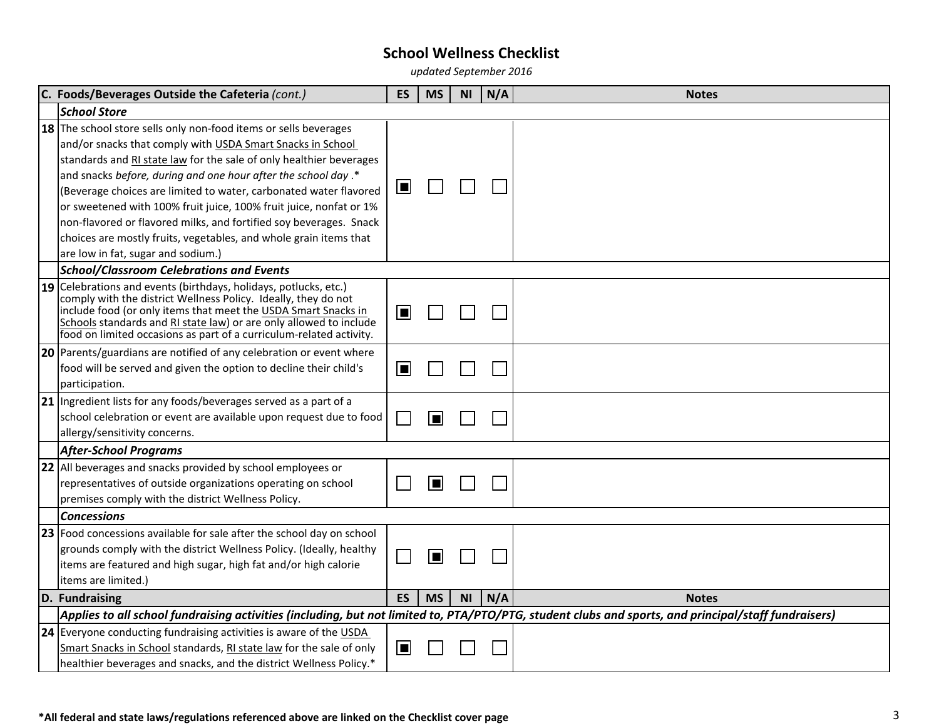| C. Foods/Beverages Outside the Cafeteria (cont.)                                                                                                                                                                                                                                                                                                  | <b>ES</b> | <b>MS</b> | <b>NI</b> | N/A | <b>Notes</b> |
|---------------------------------------------------------------------------------------------------------------------------------------------------------------------------------------------------------------------------------------------------------------------------------------------------------------------------------------------------|-----------|-----------|-----------|-----|--------------|
| <b>School Store</b>                                                                                                                                                                                                                                                                                                                               |           |           |           |     |              |
| 18 The school store sells only non-food items or sells beverages<br>and/or snacks that comply with USDA Smart Snacks in School                                                                                                                                                                                                                    |           |           |           |     |              |
| standards and RI state law for the sale of only healthier beverages                                                                                                                                                                                                                                                                               |           |           |           |     |              |
| and snacks before, during and one hour after the school day.*                                                                                                                                                                                                                                                                                     |           |           |           |     |              |
| (Beverage choices are limited to water, carbonated water flavored                                                                                                                                                                                                                                                                                 | ⋓         |           |           |     |              |
| or sweetened with 100% fruit juice, 100% fruit juice, nonfat or 1%                                                                                                                                                                                                                                                                                |           |           |           |     |              |
| non-flavored or flavored milks, and fortified soy beverages. Snack                                                                                                                                                                                                                                                                                |           |           |           |     |              |
| choices are mostly fruits, vegetables, and whole grain items that                                                                                                                                                                                                                                                                                 |           |           |           |     |              |
| are low in fat, sugar and sodium.)                                                                                                                                                                                                                                                                                                                |           |           |           |     |              |
| <b>School/Classroom Celebrations and Events</b>                                                                                                                                                                                                                                                                                                   |           |           |           |     |              |
| 19 Celebrations and events (birthdays, holidays, potlucks, etc.)<br>comply with the district Wellness Policy. Ideally, they do not<br>include food (or only items that meet the USDA Smart Snacks in<br>Schools standards and RI state law) or are only allowed to include<br>food on limited occasions as part of a curriculum-related activity. | ■         |           |           |     |              |
| 20 Parents/guardians are notified of any celebration or event where                                                                                                                                                                                                                                                                               |           |           |           |     |              |
| food will be served and given the option to decline their child's                                                                                                                                                                                                                                                                                 | ⊡         |           |           |     |              |
| participation.                                                                                                                                                                                                                                                                                                                                    |           |           |           |     |              |
| 21 Ingredient lists for any foods/beverages served as a part of a                                                                                                                                                                                                                                                                                 |           |           |           |     |              |
| school celebration or event are available upon request due to food                                                                                                                                                                                                                                                                                |           | E         |           |     |              |
| allergy/sensitivity concerns.                                                                                                                                                                                                                                                                                                                     |           |           |           |     |              |
| <b>After-School Programs</b>                                                                                                                                                                                                                                                                                                                      |           |           |           |     |              |
| 22 All beverages and snacks provided by school employees or                                                                                                                                                                                                                                                                                       |           |           |           |     |              |
| representatives of outside organizations operating on school                                                                                                                                                                                                                                                                                      |           | E         |           |     |              |
| premises comply with the district Wellness Policy.                                                                                                                                                                                                                                                                                                |           |           |           |     |              |
| <b>Concessions</b>                                                                                                                                                                                                                                                                                                                                |           |           |           |     |              |
| <b>23</b> Food concessions available for sale after the school day on school                                                                                                                                                                                                                                                                      |           |           |           |     |              |
| grounds comply with the district Wellness Policy. (Ideally, healthy                                                                                                                                                                                                                                                                               |           | O         |           |     |              |
| items are featured and high sugar, high fat and/or high calorie                                                                                                                                                                                                                                                                                   |           |           |           |     |              |
| items are limited.)                                                                                                                                                                                                                                                                                                                               |           |           |           |     |              |
| D. Fundraising                                                                                                                                                                                                                                                                                                                                    | <b>ES</b> | <b>MS</b> | NI        | N/A | <b>Notes</b> |
| Applies to all school fundraising activities (including, but not limited to, PTA/PTO/PTG, student clubs and sports, and principal/staff fundraisers)                                                                                                                                                                                              |           |           |           |     |              |
| 24 Everyone conducting fundraising activities is aware of the USDA                                                                                                                                                                                                                                                                                |           |           |           |     |              |
| Smart Snacks in School standards, RI state law for the sale of only                                                                                                                                                                                                                                                                               | $\Box$    |           |           |     |              |
| healthier beverages and snacks, and the district Wellness Policy.*                                                                                                                                                                                                                                                                                |           |           |           |     |              |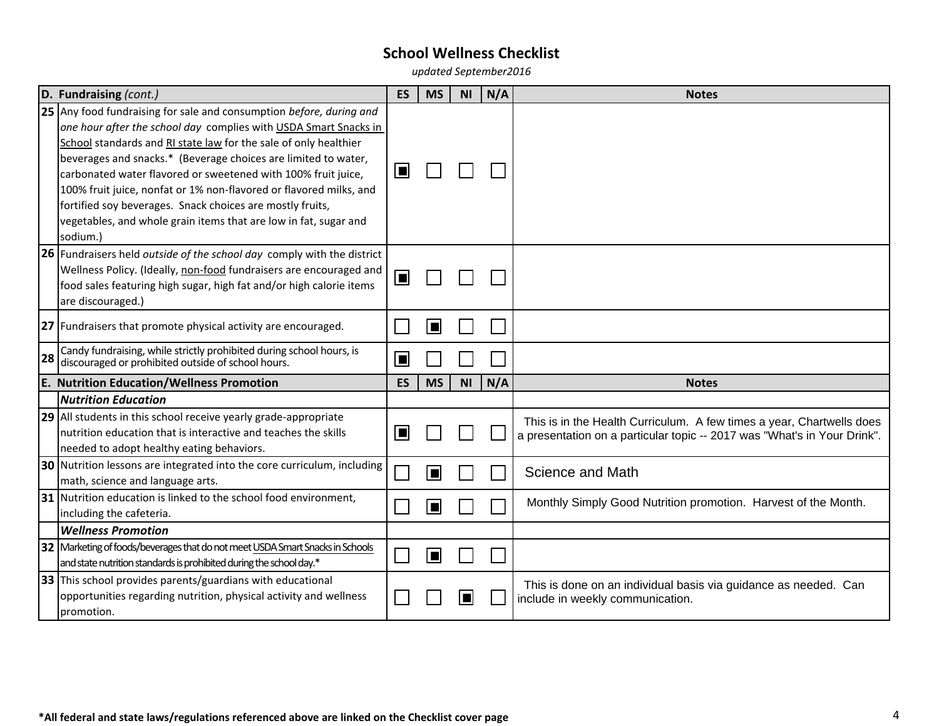|    | D. Fundraising (cont.)                                                                                                                                                                                                                                                                                                                                                                                                                                                                                                                                            | <b>ES</b>      | <b>MS</b> | <b>NI</b>      | N/A | <b>Notes</b>                                                                                                                                      |
|----|-------------------------------------------------------------------------------------------------------------------------------------------------------------------------------------------------------------------------------------------------------------------------------------------------------------------------------------------------------------------------------------------------------------------------------------------------------------------------------------------------------------------------------------------------------------------|----------------|-----------|----------------|-----|---------------------------------------------------------------------------------------------------------------------------------------------------|
|    | 25 Any food fundraising for sale and consumption before, during and<br>one hour after the school day complies with USDA Smart Snacks in<br>School standards and RI state law for the sale of only healthier<br>beverages and snacks.* (Beverage choices are limited to water,<br>carbonated water flavored or sweetened with 100% fruit juice,<br>100% fruit juice, nonfat or 1% non-flavored or flavored milks, and<br>fortified soy beverages. Snack choices are mostly fruits,<br>vegetables, and whole grain items that are low in fat, sugar and<br>sodium.) | ■              |           |                |     |                                                                                                                                                   |
|    | 26 Fundraisers held outside of the school day comply with the district<br>Wellness Policy. (Ideally, non-food fundraisers are encouraged and<br>food sales featuring high sugar, high fat and/or high calorie items<br>are discouraged.)                                                                                                                                                                                                                                                                                                                          | $\blacksquare$ |           |                |     |                                                                                                                                                   |
|    | 27 Fundraisers that promote physical activity are encouraged.                                                                                                                                                                                                                                                                                                                                                                                                                                                                                                     |                |           |                |     |                                                                                                                                                   |
| 28 | Candy fundraising, while strictly prohibited during school hours, is<br>discouraged or prohibited outside of school hours.                                                                                                                                                                                                                                                                                                                                                                                                                                        | $\blacksquare$ |           |                |     |                                                                                                                                                   |
|    | <b>E. Nutrition Education/Wellness Promotion</b>                                                                                                                                                                                                                                                                                                                                                                                                                                                                                                                  | <b>ES</b>      | <b>MS</b> | N <sub>1</sub> | N/A | <b>Notes</b>                                                                                                                                      |
|    | <b>Nutrition Education</b>                                                                                                                                                                                                                                                                                                                                                                                                                                                                                                                                        |                |           |                |     |                                                                                                                                                   |
|    | 29 All students in this school receive yearly grade-appropriate<br>nutrition education that is interactive and teaches the skills<br>needed to adopt healthy eating behaviors.                                                                                                                                                                                                                                                                                                                                                                                    | П              |           |                |     | This is in the Health Curriculum. A few times a year, Chartwells does<br>a presentation on a particular topic -- 2017 was "What's in Your Drink". |
|    | 30 Nutrition lessons are integrated into the core curriculum, including<br>math, science and language arts.                                                                                                                                                                                                                                                                                                                                                                                                                                                       |                |           |                |     | Science and Math                                                                                                                                  |
|    | 31 Nutrition education is linked to the school food environment,<br>including the cafeteria.                                                                                                                                                                                                                                                                                                                                                                                                                                                                      |                |           |                |     | Monthly Simply Good Nutrition promotion. Harvest of the Month.                                                                                    |
|    | <b>Wellness Promotion</b>                                                                                                                                                                                                                                                                                                                                                                                                                                                                                                                                         |                |           |                |     |                                                                                                                                                   |
|    | 32 Marketing of foods/beverages that do not meet USDA Smart Snacks in Schools<br>and state nutrition standards is prohibited during the school day.*                                                                                                                                                                                                                                                                                                                                                                                                              |                | П         |                |     |                                                                                                                                                   |
|    | 33 This school provides parents/guardians with educational<br>opportunities regarding nutrition, physical activity and wellness<br>promotion.                                                                                                                                                                                                                                                                                                                                                                                                                     |                |           |                |     | This is done on an individual basis via guidance as needed. Can<br>include in weekly communication.                                               |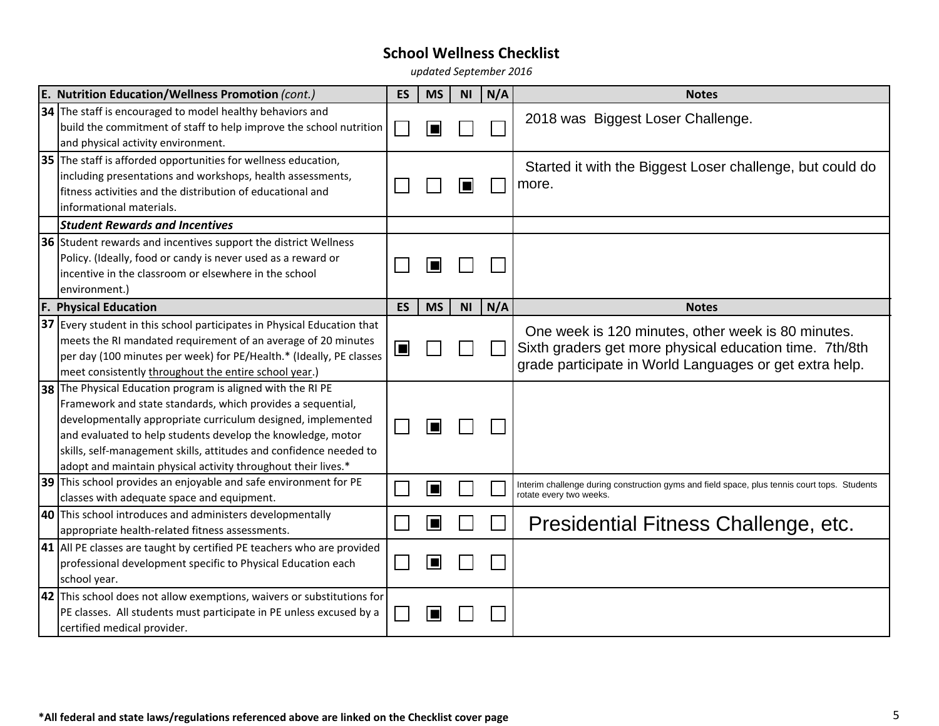| E. Nutrition Education/Wellness Promotion (cont.) |                                                                                                                                                                                                                                                                                                                                                                                                  |           | <b>MS</b> | <b>NI</b> | N/A | <b>Notes</b>                                                                                                                                                             |
|---------------------------------------------------|--------------------------------------------------------------------------------------------------------------------------------------------------------------------------------------------------------------------------------------------------------------------------------------------------------------------------------------------------------------------------------------------------|-----------|-----------|-----------|-----|--------------------------------------------------------------------------------------------------------------------------------------------------------------------------|
|                                                   | 34 The staff is encouraged to model healthy behaviors and<br>build the commitment of staff to help improve the school nutrition<br>and physical activity environment.                                                                                                                                                                                                                            |           |           |           |     | 2018 was Biggest Loser Challenge.                                                                                                                                        |
|                                                   | 35 The staff is afforded opportunities for wellness education,<br>including presentations and workshops, health assessments,<br>fitness activities and the distribution of educational and<br>informational materials.                                                                                                                                                                           |           |           | О         |     | Started it with the Biggest Loser challenge, but could do<br>more.                                                                                                       |
|                                                   | <b>Student Rewards and Incentives</b>                                                                                                                                                                                                                                                                                                                                                            |           |           |           |     |                                                                                                                                                                          |
|                                                   | 36 Student rewards and incentives support the district Wellness<br>Policy. (Ideally, food or candy is never used as a reward or<br>incentive in the classroom or elsewhere in the school<br>environment.)                                                                                                                                                                                        |           |           |           |     |                                                                                                                                                                          |
| F.                                                | <b>Physical Education</b>                                                                                                                                                                                                                                                                                                                                                                        | <b>ES</b> | <b>MS</b> | <b>NI</b> | N/A | <b>Notes</b>                                                                                                                                                             |
|                                                   | 37 Every student in this school participates in Physical Education that<br>meets the RI mandated requirement of an average of 20 minutes<br>per day (100 minutes per week) for PE/Health.* (Ideally, PE classes<br>meet consistently throughout the entire school year.)                                                                                                                         | Œ         |           |           |     | One week is 120 minutes, other week is 80 minutes.<br>Sixth graders get more physical education time. 7th/8th<br>grade participate in World Languages or get extra help. |
|                                                   | 38 The Physical Education program is aligned with the RI PE<br>Framework and state standards, which provides a sequential,<br>developmentally appropriate curriculum designed, implemented<br>and evaluated to help students develop the knowledge, motor<br>skills, self-management skills, attitudes and confidence needed to<br>adopt and maintain physical activity throughout their lives.* |           |           |           |     |                                                                                                                                                                          |
|                                                   | 39 This school provides an enjoyable and safe environment for PE<br>classes with adequate space and equipment.                                                                                                                                                                                                                                                                                   |           |           |           |     | Interim challenge during construction gyms and field space, plus tennis court tops. Students<br>rotate every two weeks.                                                  |
|                                                   | 40 This school introduces and administers developmentally<br>appropriate health-related fitness assessments.                                                                                                                                                                                                                                                                                     |           |           |           |     | Presidential Fitness Challenge, etc.                                                                                                                                     |
|                                                   | $\vert$ 41 $\vert$ All PE classes are taught by certified PE teachers who are provided<br>professional development specific to Physical Education each<br>school year.                                                                                                                                                                                                                           |           |           |           |     |                                                                                                                                                                          |
|                                                   | 42 This school does not allow exemptions, waivers or substitutions for<br>PE classes. All students must participate in PE unless excused by a<br>certified medical provider.                                                                                                                                                                                                                     |           |           |           |     |                                                                                                                                                                          |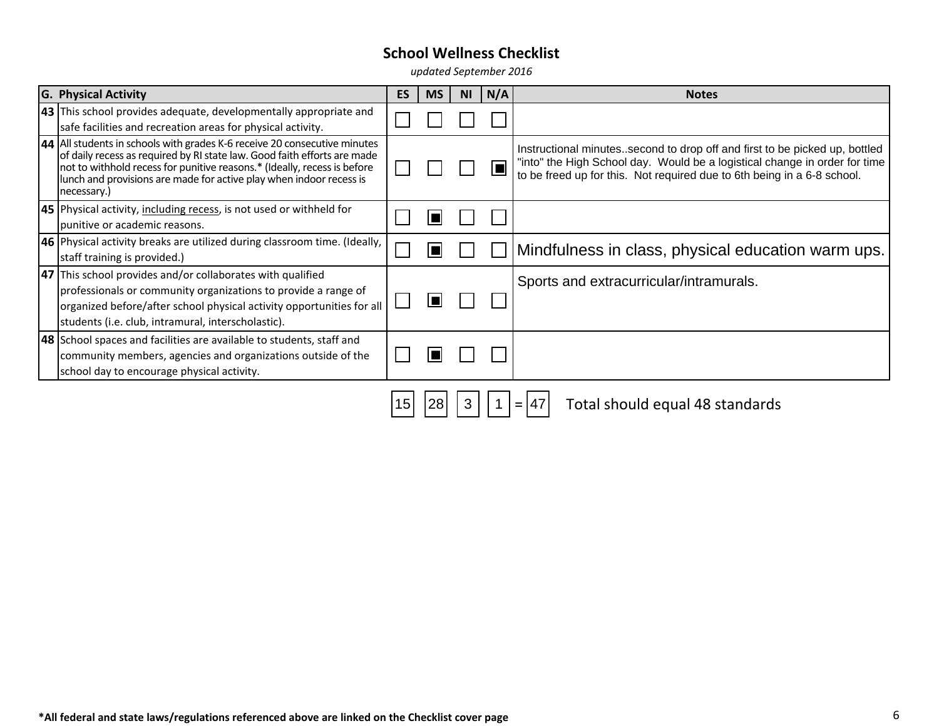| <b>G. Physical Activity</b>                                                                                                                                                                                                                                                                                             | <b>ES</b> | <b>MS</b> | <b>NI</b> | N/A | <b>Notes</b>                                                                                                                                                                                                                          |
|-------------------------------------------------------------------------------------------------------------------------------------------------------------------------------------------------------------------------------------------------------------------------------------------------------------------------|-----------|-----------|-----------|-----|---------------------------------------------------------------------------------------------------------------------------------------------------------------------------------------------------------------------------------------|
| 43 This school provides adequate, developmentally appropriate and<br>safe facilities and recreation areas for physical activity.                                                                                                                                                                                        |           |           |           |     |                                                                                                                                                                                                                                       |
| 44 All students in schools with grades K-6 receive 20 consecutive minutes<br>of daily recess as required by RI state law. Good faith efforts are made<br>not to withhold recess for punitive reasons.* (Ideally, recess is before<br>lunch and provisions are made for active play when indoor recess is<br>necessary.) |           |           |           |     | Instructional minutes. second to drop off and first to be picked up, bottled<br>"into" the High School day. Would be a logistical change in order for time<br>to be freed up for this. Not required due to 6th being in a 6-8 school. |
| 45 Physical activity, including recess, is not used or withheld for<br>punitive or academic reasons.                                                                                                                                                                                                                    |           |           |           |     |                                                                                                                                                                                                                                       |
| 46 Physical activity breaks are utilized during classroom time. (Ideally,<br>staff training is provided.)                                                                                                                                                                                                               |           |           |           |     | Mindfulness in class, physical education warm ups.                                                                                                                                                                                    |
| 47 This school provides and/or collaborates with qualified<br>professionals or community organizations to provide a range of<br>organized before/after school physical activity opportunities for all<br>students (i.e. club, intramural, interscholastic).                                                             |           |           |           |     | Sports and extracurricular/intramurals.                                                                                                                                                                                               |
| <b>48</b> School spaces and facilities are available to students, staff and<br>community members, agencies and organizations outside of the<br>school day to encourage physical activity.                                                                                                                               |           |           |           |     |                                                                                                                                                                                                                                       |
|                                                                                                                                                                                                                                                                                                                         | 15        |           |           |     | Total should equal 48 standards                                                                                                                                                                                                       |